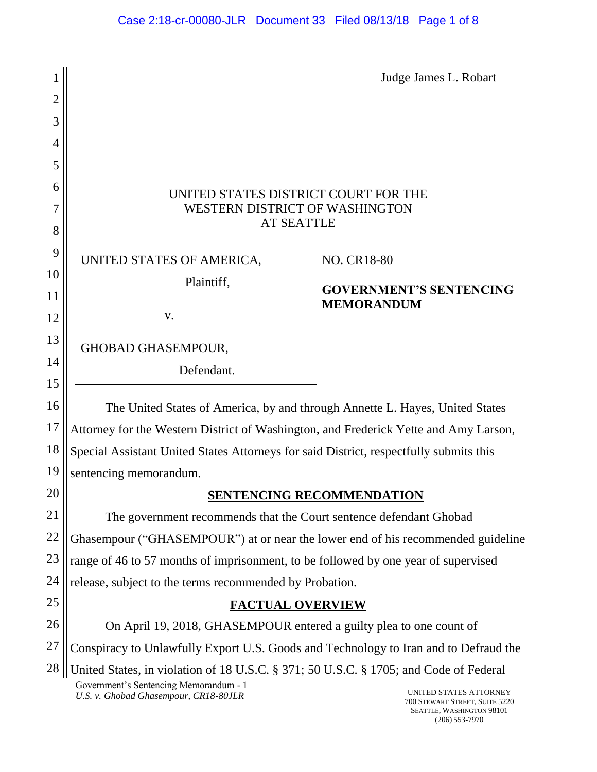| 1              |                                                                                             | Judge James L. Robart                               |  |
|----------------|---------------------------------------------------------------------------------------------|-----------------------------------------------------|--|
| $\overline{2}$ |                                                                                             |                                                     |  |
| 3              |                                                                                             |                                                     |  |
| 4              |                                                                                             |                                                     |  |
| 5              |                                                                                             |                                                     |  |
| 6              |                                                                                             |                                                     |  |
| 7              | UNITED STATES DISTRICT COURT FOR THE<br>WESTERN DISTRICT OF WASHINGTON<br><b>AT SEATTLE</b> |                                                     |  |
| 8              |                                                                                             |                                                     |  |
| 9              | UNITED STATES OF AMERICA,                                                                   | <b>NO. CR18-80</b>                                  |  |
| 10             | Plaintiff,                                                                                  |                                                     |  |
| 11             |                                                                                             | <b>GOVERNMENT'S SENTENCING</b><br><b>MEMORANDUM</b> |  |
| 12             | V.                                                                                          |                                                     |  |
| 13             | <b>GHOBAD GHASEMPOUR,</b>                                                                   |                                                     |  |
| 14             | Defendant.                                                                                  |                                                     |  |
| 15             |                                                                                             |                                                     |  |
| 16             | The United States of America, by and through Annette L. Hayes, United States                |                                                     |  |
| 17             | Attorney for the Western District of Washington, and Frederick Yette and Amy Larson,        |                                                     |  |
| 18             | Special Assistant United States Attorneys for said District, respectfully submits this      |                                                     |  |
| 19             | sentencing memorandum.                                                                      |                                                     |  |
| 20             |                                                                                             | <b>SENTENCING RECOMMENDATION</b>                    |  |
| 21             | The government recommends that the Court sentence defendant Ghobad                          |                                                     |  |
| 22             | Ghasempour ("GHASEMPOUR") at or near the lower end of his recommended guideline             |                                                     |  |
| 23             | range of 46 to 57 months of imprisonment, to be followed by one year of supervised          |                                                     |  |
| 24             | release, subject to the terms recommended by Probation.                                     |                                                     |  |
| 25             | <b>FACTUAL OVERVIEW</b>                                                                     |                                                     |  |
| 26             | On April 19, 2018, GHASEMPOUR entered a guilty plea to one count of                         |                                                     |  |
| 27             | Conspiracy to Unlawfully Export U.S. Goods and Technology to Iran and to Defraud the        |                                                     |  |
| 28             | United States, in violation of 18 U.S.C. § 371; 50 U.S.C. § 1705; and Code of Federal       |                                                     |  |

Government's Sentencing Memorandum - 1 U.S. *v. Ghobad Ghasempour, CR18-80JLR* UNITED STATES ATTORNEY

700 STEWART STREET, SUITE 5220 SEATTLE, WASHINGTON 98101 (206) 553-7970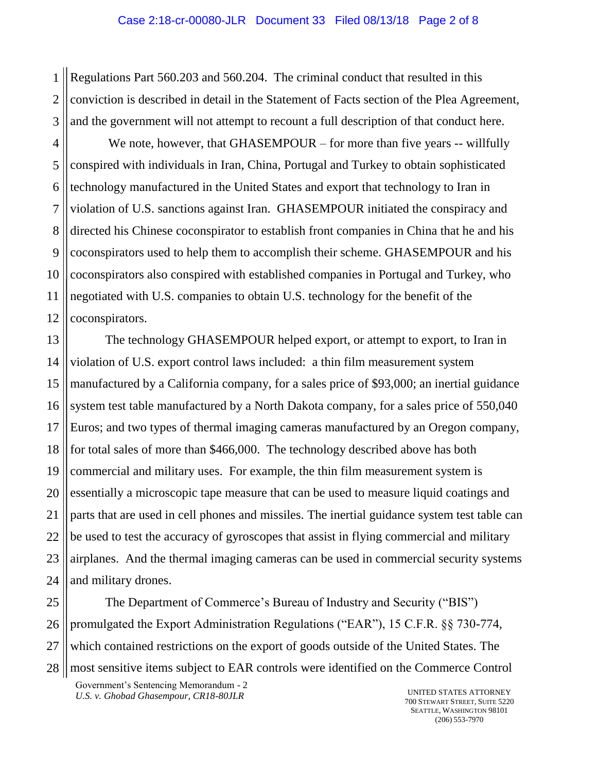1 2 3 Regulations Part 560.203 and 560.204. The criminal conduct that resulted in this conviction is described in detail in the Statement of Facts section of the Plea Agreement, and the government will not attempt to recount a full description of that conduct here.

4 We note, however, that GHASEMPOUR – for more than five years -- willfully conspired with individuals in Iran, China, Portugal and Turkey to obtain sophisticated technology manufactured in the United States and export that technology to Iran in violation of U.S. sanctions against Iran. GHASEMPOUR initiated the conspiracy and directed his Chinese coconspirator to establish front companies in China that he and his coconspirators used to help them to accomplish their scheme. GHASEMPOUR and his coconspirators also conspired with established companies in Portugal and Turkey, who negotiated with U.S. companies to obtain U.S. technology for the benefit of the coconspirators.

The technology GHASEMPOUR helped export, or attempt to export, to Iran in violation of U.S. export control laws included: a thin film measurement system manufactured by a California company, for a sales price of \$93,000; an inertial guidance system test table manufactured by a North Dakota company, for a sales price of 550,040 Euros; and two types of thermal imaging cameras manufactured by an Oregon company, for total sales of more than \$466,000. The technology described above has both commercial and military uses. For example, the thin film measurement system is essentially a microscopic tape measure that can be used to measure liquid coatings and parts that are used in cell phones and missiles. The inertial guidance system test table can be used to test the accuracy of gyroscopes that assist in flying commercial and military airplanes. And the thermal imaging cameras can be used in commercial security systems and military drones.

The Department of Commerce's Bureau of Industry and Security ("BIS") promulgated the Export Administration Regulations ("EAR"), 15 C.F.R. §§ 730-774, which contained restrictions on the export of goods outside of the United States. The most sensitive items subject to EAR controls were identified on the Commerce Control

Government's Sentencing Memorandum - 2 *U.S. v. Ghobad Ghasempour, CR18-80JLR* UNITED STATES ATTORNEY

700 STEWART STREET, SUITE 5220 SEATTLE, WASHINGTON 98101 (206) 553-7970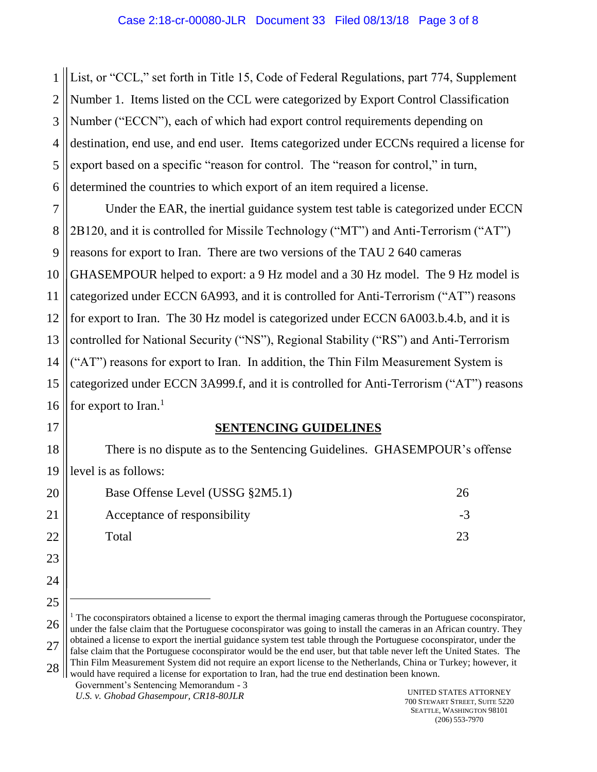1 2 3 4 5 6 List, or "CCL," set forth in Title 15, Code of Federal Regulations, part 774, Supplement Number 1. Items listed on the CCL were categorized by Export Control Classification Number ("ECCN"), each of which had export control requirements depending on destination, end use, and end user. Items categorized under ECCNs required a license for export based on a specific "reason for control. The "reason for control," in turn, determined the countries to which export of an item required a license.

7 8 9 10 11 12 13 14 15 16 Under the EAR, the inertial guidance system test table is categorized under ECCN 2B120, and it is controlled for Missile Technology ("MT") and Anti-Terrorism ("AT") reasons for export to Iran. There are two versions of the TAU 2 640 cameras GHASEMPOUR helped to export: a 9 Hz model and a 30 Hz model. The 9 Hz model is categorized under ECCN 6A993, and it is controlled for Anti-Terrorism ("AT") reasons for export to Iran. The 30 Hz model is categorized under ECCN 6A003.b.4.b, and it is controlled for National Security ("NS"), Regional Stability ("RS") and Anti-Terrorism ("AT") reasons for export to Iran. In addition, the Thin Film Measurement System is categorized under ECCN 3A999.f, and it is controlled for Anti-Terrorism ("AT") reasons for export to Iran. $<sup>1</sup>$ </sup>

#### **SENTENCING GUIDELINES**

There is no dispute as to the Sentencing Guidelines. GHASEMPOUR's offense level is as follows:

| Base Offense Level (USSG §2M5.1) | 26   |
|----------------------------------|------|
| Acceptance of responsibility     | $-3$ |
| Total                            | 23   |

Government's Sentencing Memorandum - 3 would have required a license for exportation to Iran, had the true end destination been known.

17

18

19

20

21

22

23

24

25

 $\overline{a}$ 

<sup>26</sup> 27 28  $1$ . The coconspirators obtained a license to export the thermal imaging cameras through the Portuguese coconspirator, under the false claim that the Portuguese coconspirator was going to install the cameras in an African country. They obtained a license to export the inertial guidance system test table through the Portuguese coconspirator, under the false claim that the Portuguese coconspirator would be the end user, but that table never left the United States. The Thin Film Measurement System did not require an export license to the Netherlands, China or Turkey; however, it

U.S. *v. Ghobad Ghasempour, CR18-80JLR* UNITED STATES ATTORNEY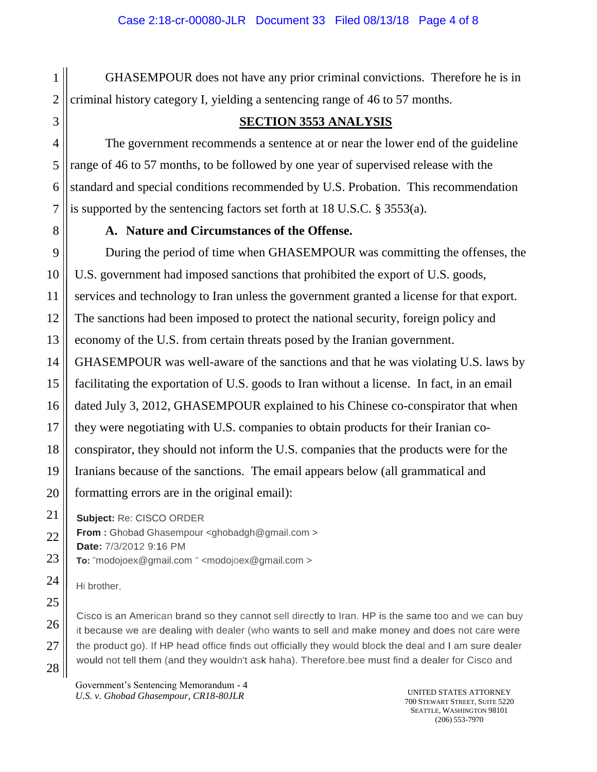GHASEMPOUR does not have any prior criminal convictions. Therefore he is in criminal history category I, yielding a sentencing range of 46 to 57 months.

## **SECTION 3553 ANALYSIS**

The government recommends a sentence at or near the lower end of the guideline range of 46 to 57 months, to be followed by one year of supervised release with the standard and special conditions recommended by U.S. Probation. This recommendation is supported by the sentencing factors set forth at 18 U.S.C. § 3553(a).

#### **A. Nature and Circumstances of the Offense.**

During the period of time when GHASEMPOUR was committing the offenses, the U.S. government had imposed sanctions that prohibited the export of U.S. goods, services and technology to Iran unless the government granted a license for that export. The sanctions had been imposed to protect the national security, foreign policy and economy of the U.S. from certain threats posed by the Iranian government. GHASEMPOUR was well-aware of the sanctions and that he was violating U.S. laws by facilitating the exportation of U.S. goods to Iran without a license. In fact, in an email dated July 3, 2012, GHASEMPOUR explained to his Chinese co-conspirator that when they were negotiating with U.S. companies to obtain products for their Iranian coconspirator, they should not inform the U.S. companies that the products were for the Iranians because of the sanctions. The email appears below (all grammatical and formatting errors are in the original email):

**Subject:** Re: CISCO ORDER

**From :** Ghobad Ghasempour <ghobadgh@gmail.com >

**Date:** 7/3/2012 9:16 PM

**To:** "mod[ojoex@gmail.com](mailto:joex@gmail.com) " <modojoex@gmail.com >

Hi brother,

Cisco is an American brand so they cannot sell directly to Iran. HP is the same too and we can buy it because we are dealing with dealer (who wants to sell and make money and does not care were the product go). If HP head office finds out officially they would block the deal and I am sure dealer would not tell them (and they wouldn't ask haha). Therefore,bee must find a dealer for Cisco and

Government's Sentencing Memorandum - 4 *U.S. v. Ghobad Ghasempour, CR18-80JLR* UNITED STATES ATTORNEY

700 STEWART STREET, SUITE 5220 SEATTLE, WASHINGTON 98101 (206) 553-7970

1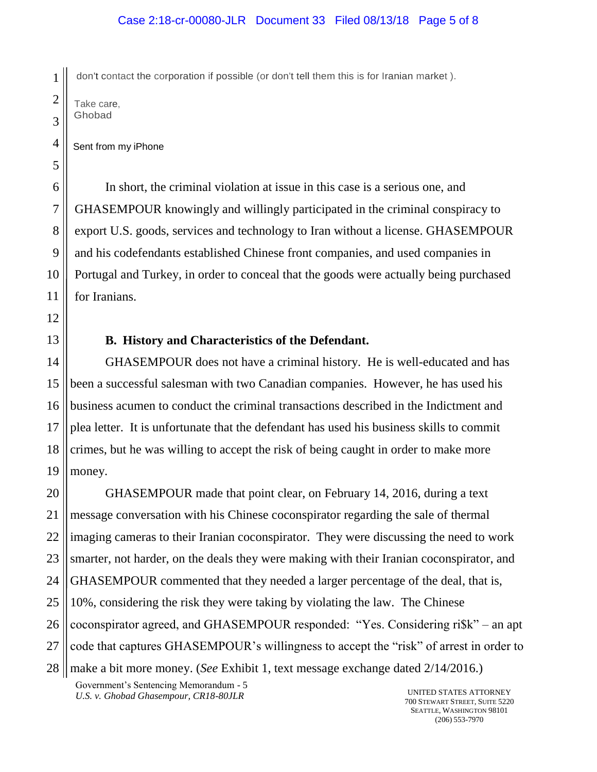don't contact the corporation if possible (or don't tell them this is for Iranian market ).

Take care, Ghobad

1

Sent from my iPhone

In short, the criminal violation at issue in this case is a serious one, and GHASEMPOUR knowingly and willingly participated in the criminal conspiracy to export U.S. goods, services and technology to Iran without a license. GHASEMPOUR and his codefendants established Chinese front companies, and used companies in Portugal and Turkey, in order to conceal that the goods were actually being purchased for Iranians.

## **B. History and Characteristics of the Defendant.**

GHASEMPOUR does not have a criminal history. He is well-educated and has been a successful salesman with two Canadian companies. However, he has used his business acumen to conduct the criminal transactions described in the Indictment and plea letter. It is unfortunate that the defendant has used his business skills to commit crimes, but he was willing to accept the risk of being caught in order to make more money.

GHASEMPOUR made that point clear, on February 14, 2016, during a text message conversation with his Chinese coconspirator regarding the sale of thermal imaging cameras to their Iranian coconspirator. They were discussing the need to work smarter, not harder, on the deals they were making with their Iranian coconspirator, and GHASEMPOUR commented that they needed a larger percentage of the deal, that is, 10%, considering the risk they were taking by violating the law. The Chinese coconspirator agreed, and GHASEMPOUR responded: "Yes. Considering ri\$k" – an apt code that captures GHASEMPOUR's willingness to accept the "risk" of arrest in order to make a bit more money. (*See* Exhibit 1, text message exchange dated 2/14/2016.)

Government's Sentencing Memorandum - 5 *U.S. v. Ghobad Ghasempour, CR18-80JLR* UNITED STATES ATTORNEY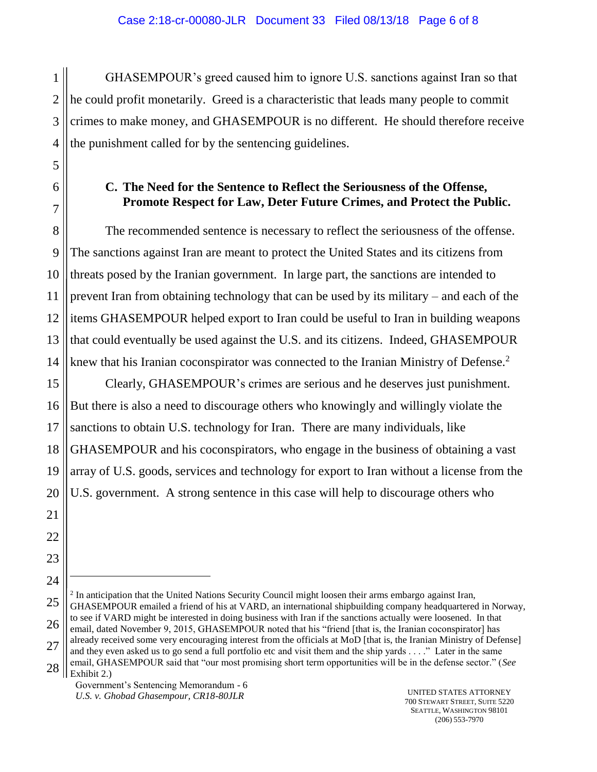1 GHASEMPOUR's greed caused him to ignore U.S. sanctions against Iran so that he could profit monetarily. Greed is a characteristic that leads many people to commit crimes to make money, and GHASEMPOUR is no different. He should therefore receive the punishment called for by the sentencing guidelines.

## **C. The Need for the Sentence to Reflect the Seriousness of the Offense, Promote Respect for Law, Deter Future Crimes, and Protect the Public.**

The recommended sentence is necessary to reflect the seriousness of the offense. The sanctions against Iran are meant to protect the United States and its citizens from threats posed by the Iranian government. In large part, the sanctions are intended to prevent Iran from obtaining technology that can be used by its military – and each of the items GHASEMPOUR helped export to Iran could be useful to Iran in building weapons that could eventually be used against the U.S. and its citizens. Indeed, GHASEMPOUR knew that his Iranian coconspirator was connected to the Iranian Ministry of Defense.<sup>2</sup>

Clearly, GHASEMPOUR's crimes are serious and he deserves just punishment. But there is also a need to discourage others who knowingly and willingly violate the sanctions to obtain U.S. technology for Iran. There are many individuals, like GHASEMPOUR and his coconspirators, who engage in the business of obtaining a vast array of U.S. goods, services and technology for export to Iran without a license from the U.S. government. A strong sentence in this case will help to discourage others who

 $\overline{a}$ 

<sup>&</sup>lt;sup>2</sup> In anticipation that the United Nations Security Council might loosen their arms embargo against Iran, GHASEMPOUR emailed a friend of his at VARD, an international shipbuilding company headquartered in Norway, to see if VARD might be interested in doing business with Iran if the sanctions actually were loosened. In that email, dated November 9, 2015, GHASEMPOUR noted that his "friend [that is, the Iranian coconspirator] has already received some very encouraging interest from the officials at MoD [that is, the Iranian Ministry of Defense] and they even asked us to go send a full portfolio etc and visit them and the ship yards . . . ." Later in the same email, GHASEMPOUR said that "our most promising short term opportunities will be in the defense sector." (*See* Exhibit 2.)

Government's Sentencing Memorandum - 6 *U.S. v. Ghobad Ghasempour, CR18-80JLR* UNITED STATES ATTORNEY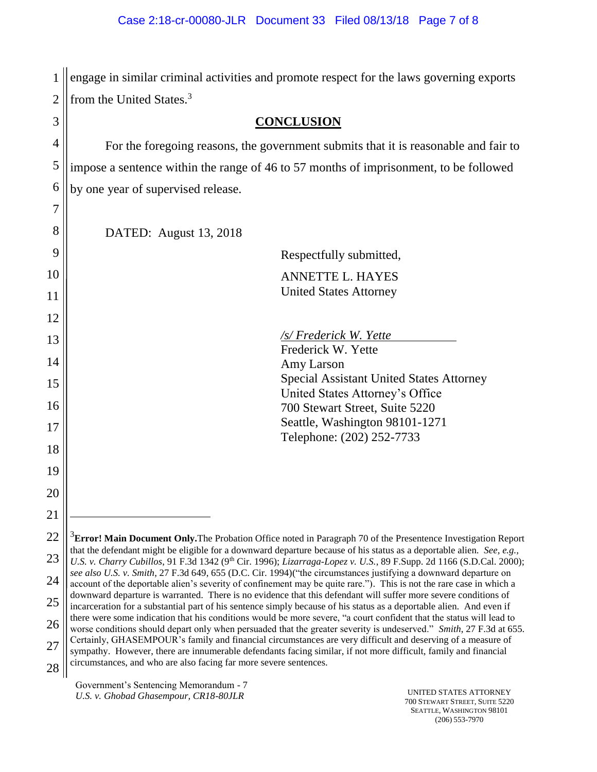1 engage in similar criminal activities and promote respect for the laws governing exports 2 || from the United States.<sup>3</sup>

| 3  | <b>CONCLUSION</b>                                                                                                                                                                                                                                                                                                                                                                                                                                                                                                                                                                                                                                                                                                                                                                                                                                                                                                                                                                                                                         |  |
|----|-------------------------------------------------------------------------------------------------------------------------------------------------------------------------------------------------------------------------------------------------------------------------------------------------------------------------------------------------------------------------------------------------------------------------------------------------------------------------------------------------------------------------------------------------------------------------------------------------------------------------------------------------------------------------------------------------------------------------------------------------------------------------------------------------------------------------------------------------------------------------------------------------------------------------------------------------------------------------------------------------------------------------------------------|--|
| 4  | For the foregoing reasons, the government submits that it is reasonable and fair to                                                                                                                                                                                                                                                                                                                                                                                                                                                                                                                                                                                                                                                                                                                                                                                                                                                                                                                                                       |  |
| 5  | impose a sentence within the range of 46 to 57 months of imprisonment, to be followed                                                                                                                                                                                                                                                                                                                                                                                                                                                                                                                                                                                                                                                                                                                                                                                                                                                                                                                                                     |  |
| 6  | by one year of supervised release.                                                                                                                                                                                                                                                                                                                                                                                                                                                                                                                                                                                                                                                                                                                                                                                                                                                                                                                                                                                                        |  |
| 7  |                                                                                                                                                                                                                                                                                                                                                                                                                                                                                                                                                                                                                                                                                                                                                                                                                                                                                                                                                                                                                                           |  |
| 8  | DATED: August 13, 2018                                                                                                                                                                                                                                                                                                                                                                                                                                                                                                                                                                                                                                                                                                                                                                                                                                                                                                                                                                                                                    |  |
| 9  | Respectfully submitted,                                                                                                                                                                                                                                                                                                                                                                                                                                                                                                                                                                                                                                                                                                                                                                                                                                                                                                                                                                                                                   |  |
| 10 | <b>ANNETTE L. HAYES</b>                                                                                                                                                                                                                                                                                                                                                                                                                                                                                                                                                                                                                                                                                                                                                                                                                                                                                                                                                                                                                   |  |
| 11 | <b>United States Attorney</b>                                                                                                                                                                                                                                                                                                                                                                                                                                                                                                                                                                                                                                                                                                                                                                                                                                                                                                                                                                                                             |  |
| 12 |                                                                                                                                                                                                                                                                                                                                                                                                                                                                                                                                                                                                                                                                                                                                                                                                                                                                                                                                                                                                                                           |  |
| 13 | /s/ Frederick W. Yette                                                                                                                                                                                                                                                                                                                                                                                                                                                                                                                                                                                                                                                                                                                                                                                                                                                                                                                                                                                                                    |  |
| 14 | Frederick W. Yette<br>Amy Larson                                                                                                                                                                                                                                                                                                                                                                                                                                                                                                                                                                                                                                                                                                                                                                                                                                                                                                                                                                                                          |  |
| 15 | Special Assistant United States Attorney                                                                                                                                                                                                                                                                                                                                                                                                                                                                                                                                                                                                                                                                                                                                                                                                                                                                                                                                                                                                  |  |
| 16 | United States Attorney's Office<br>700 Stewart Street, Suite 5220                                                                                                                                                                                                                                                                                                                                                                                                                                                                                                                                                                                                                                                                                                                                                                                                                                                                                                                                                                         |  |
| 17 | Seattle, Washington 98101-1271                                                                                                                                                                                                                                                                                                                                                                                                                                                                                                                                                                                                                                                                                                                                                                                                                                                                                                                                                                                                            |  |
|    | Telephone: (202) 252-7733                                                                                                                                                                                                                                                                                                                                                                                                                                                                                                                                                                                                                                                                                                                                                                                                                                                                                                                                                                                                                 |  |
| 18 |                                                                                                                                                                                                                                                                                                                                                                                                                                                                                                                                                                                                                                                                                                                                                                                                                                                                                                                                                                                                                                           |  |
| 19 |                                                                                                                                                                                                                                                                                                                                                                                                                                                                                                                                                                                                                                                                                                                                                                                                                                                                                                                                                                                                                                           |  |
| 20 |                                                                                                                                                                                                                                                                                                                                                                                                                                                                                                                                                                                                                                                                                                                                                                                                                                                                                                                                                                                                                                           |  |
| 21 |                                                                                                                                                                                                                                                                                                                                                                                                                                                                                                                                                                                                                                                                                                                                                                                                                                                                                                                                                                                                                                           |  |
| 22 | $3$ <b>Error! Main Document Only.</b> The Probation Office noted in Paragraph 70 of the Presentence Investigation Report<br>that the defendant might be eligible for a downward departure because of his status as a deportable alien. See, e.g.,                                                                                                                                                                                                                                                                                                                                                                                                                                                                                                                                                                                                                                                                                                                                                                                         |  |
| 23 | U.S. v. Charry Cubillos, 91 F.3d 1342 (9 <sup>th</sup> Cir. 1996); Lizarraga-Lopez v. U.S., 89 F.Supp. 2d 1166 (S.D.Cal. 2000);                                                                                                                                                                                                                                                                                                                                                                                                                                                                                                                                                                                                                                                                                                                                                                                                                                                                                                           |  |
| 24 | see also U.S. v. Smith, 27 F.3d 649, 655 (D.C. Cir. 1994) ("the circumstances justifying a downward departure on<br>account of the deportable alien's severity of confinement may be quite rare."). This is not the rare case in which a<br>downward departure is warranted. There is no evidence that this defendant will suffer more severe conditions of<br>incarceration for a substantial part of his sentence simply because of his status as a deportable alien. And even if<br>there were some indication that his conditions would be more severe, "a court confident that the status will lead to<br>worse conditions should depart only when persuaded that the greater severity is undeserved." Smith, 27 F.3d at 655.<br>Certainly, GHASEMPOUR's family and financial circumstances are very difficult and deserving of a measure of<br>sympathy. However, there are innumerable defendants facing similar, if not more difficult, family and financial<br>circumstances, and who are also facing far more severe sentences. |  |
| 25 |                                                                                                                                                                                                                                                                                                                                                                                                                                                                                                                                                                                                                                                                                                                                                                                                                                                                                                                                                                                                                                           |  |
| 26 |                                                                                                                                                                                                                                                                                                                                                                                                                                                                                                                                                                                                                                                                                                                                                                                                                                                                                                                                                                                                                                           |  |
| 27 |                                                                                                                                                                                                                                                                                                                                                                                                                                                                                                                                                                                                                                                                                                                                                                                                                                                                                                                                                                                                                                           |  |
| 28 |                                                                                                                                                                                                                                                                                                                                                                                                                                                                                                                                                                                                                                                                                                                                                                                                                                                                                                                                                                                                                                           |  |

Government's Sentencing Memorandum - 7 U.S. *v. Ghobad Ghasempour, CR18-80JLR* UNITED STATES ATTORNEY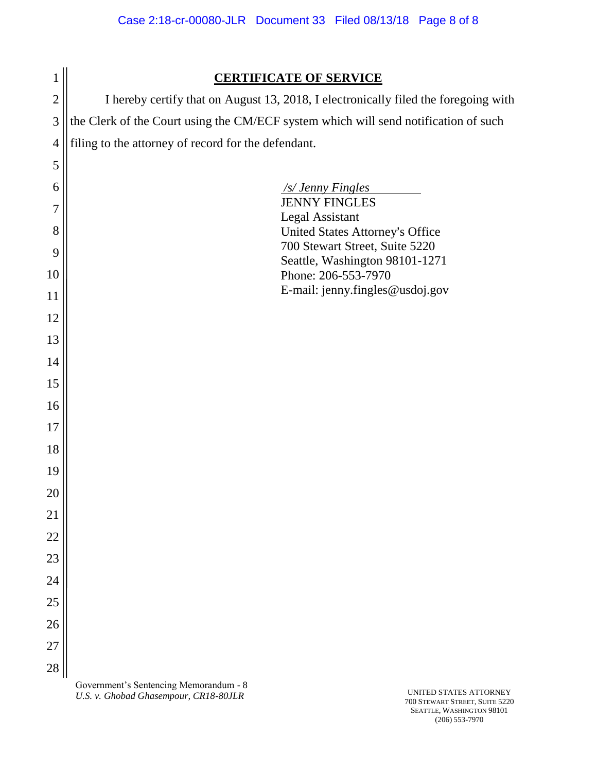| $\mathbf{1}$   | <b>CERTIFICATE OF SERVICE</b>                                                       |  |
|----------------|-------------------------------------------------------------------------------------|--|
| $\overline{c}$ | I hereby certify that on August 13, 2018, I electronically filed the foregoing with |  |
| 3              | the Clerk of the Court using the CM/ECF system which will send notification of such |  |
| $\overline{4}$ | filing to the attorney of record for the defendant.                                 |  |
| 5              |                                                                                     |  |
| 6              | /s/ Jenny Fingles                                                                   |  |
| 7              | <b>JENNY FINGLES</b><br>Legal Assistant                                             |  |
| 8              | United States Attorney's Office                                                     |  |
| 9              | 700 Stewart Street, Suite 5220<br>Seattle, Washington 98101-1271                    |  |
| 10             | Phone: 206-553-7970                                                                 |  |
| 11             | E-mail: jenny.fingles@usdoj.gov                                                     |  |
| 12             |                                                                                     |  |
| 13             |                                                                                     |  |
| 14             |                                                                                     |  |
| 15             |                                                                                     |  |
| 16             |                                                                                     |  |
| 17             |                                                                                     |  |
| 18             |                                                                                     |  |
| 19             |                                                                                     |  |
| 20             |                                                                                     |  |
| 21             |                                                                                     |  |
| 22             |                                                                                     |  |
| 23             |                                                                                     |  |
| 24             |                                                                                     |  |
| 25             |                                                                                     |  |
| 26             |                                                                                     |  |
| 27             |                                                                                     |  |
| 28             |                                                                                     |  |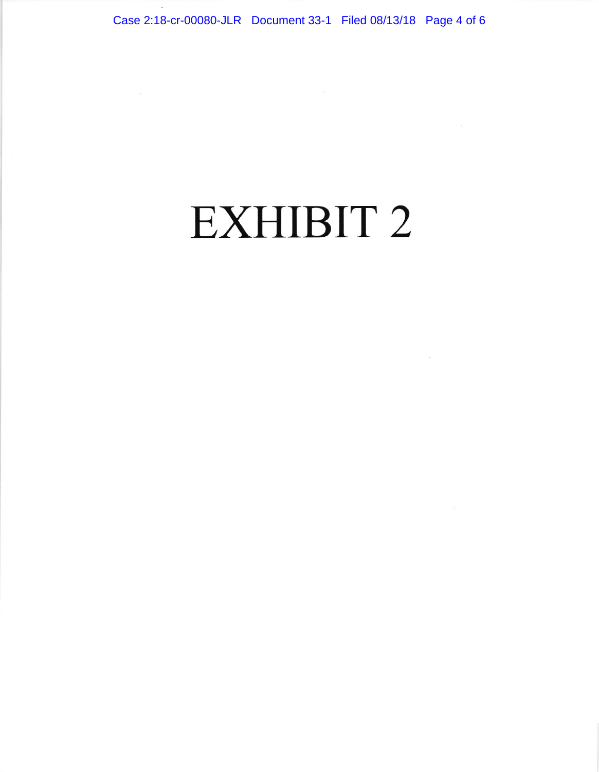# EXHIBIT 2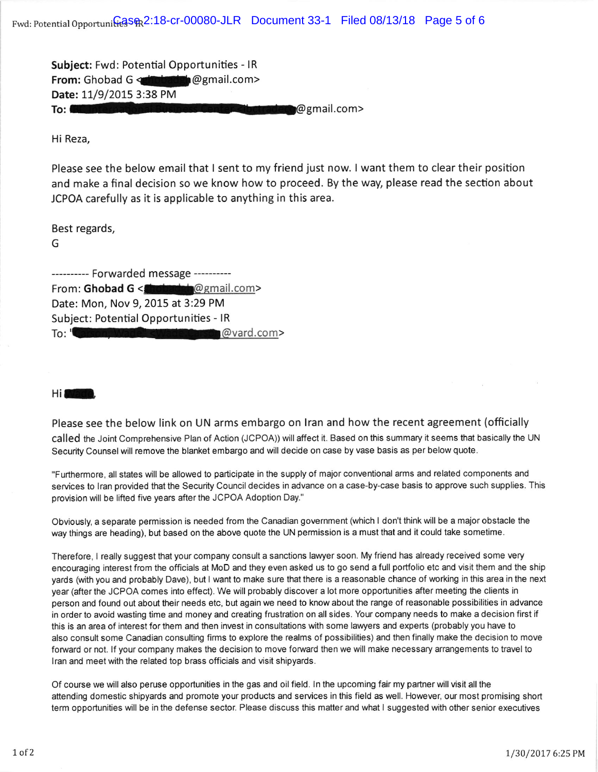Subject: Fwd: Potential Opportunities - IR From: Ghobad G <almostration @gmail.com> Date: 11/9/2015 3:38 PM To: GM international Business Center Kibetrade @ @ gmail.com>

Hi Reza,

Please see the below email that I sent to my friend just now. I want them to clear their position and make a final decision so we know how to proceed. By the way, please read the section about JCPOA carefully as it is applicable to anything in this area.

Best regards,

G

--------- Forwarded message ----------From: Ghobad G < **Chobat G** email.com> Date: Mon, Nov 9,2015 at 3:29 PM Subject: Potential Opportunities - lR To: 'Carson, Wade': < Wade: Carson @vard.com>

Hi<sup>3</sup>

Please see the below link on UN arms embargo on lran and how the recent agreement (officially called the Joint Comprehensive Plan of Action (JCPOA)) will affect it. Based on this summary it seems that basically the UN Security Counsel will remove the blanket embargo and will decide on case by vase basis as per below quote.

"Furthermore, all states will be allowed to participate in the supply of major conventional arms and related components and services to Iran provided that the Security Council decides in advance on a case-by-case basis to approve such supplies. This provision will be lifted five years after the JCPOA Adoption Day."

Obviously, a separate permission is needed from the Canadian governmenl (which I don't think will be a major obstacle the way things are heading), but based on the above quote the UN permission is a must that and it could take sometime.

Therefore, I really suggest that your company consult a sanctions lawyer soon. My friend has already received some very encouraging interest from the officials at MoD and they even asked us to go send a full portfolio etc and visit them and the ship yards (with you and probably Dave), but I want to make sure that there is a reasonable chance of working in this area in the next year (after the JCPOA comes into effect). We will probably discover a lot more opportunities after meeting the clients in person and found out about their needs etc, but again we need to know about the range of reasonable possibilities in advance in order to avoid wasting time and money and creating frustration on all sides. Your company needs to make a decision first if this is an area of interest for them and then invest in consultations with some lawyers and experls (probably you have to also consult some Canadian consulting firms to explore the realms of possibilities) and then finally make the decision to move forward or not. If your company makes the decision to move forward then we will make necessary arrangements to travel to lran and meet with the related top brass officials and visit shipyards.

Of course we will also peruse opportunities in the gas and oil field. ln the upcoming fair my partner will visit all the attending domestic shipyards and promote your products and services in this field as well. However, our most promising short term opportunities will be in the defense sector. Please discuss this matter and what I suggested with olher senior executives